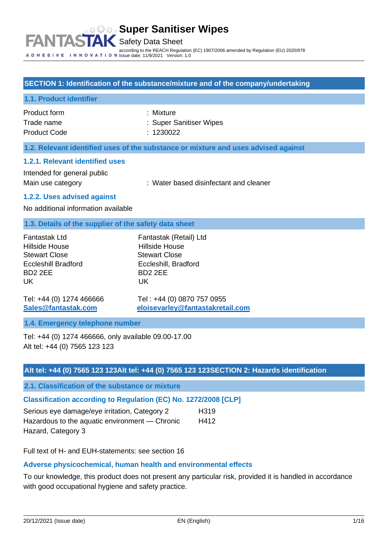#### **SECTION 1: Identification of the substance/mixture and of the company/undertaking**

#### **1.1. Product identifier**

Product form : Nixture : Mixture Trade name Product Code : Super Sanitiser Wipes : 1230022

#### **1.2. Relevant identified uses of the substance or mixture and uses advised against**

#### **1.2.1. Relevant identified uses**

Intended for general public

Main use category **Exercise 20** : Water based disinfectant and cleaner

#### **1.2.2. Uses advised against**

No additional information available

#### **1.3. Details of the supplier of the safety data sheet**

| Fantastak Ltd              | Fantastak (Retail) Ltd |
|----------------------------|------------------------|
| Hillside House             | <b>Hillside House</b>  |
| <b>Stewart Close</b>       | <b>Stewart Close</b>   |
| <b>Eccleshill Bradford</b> | Eccleshill, Bradford   |
| BD <sub>2</sub> 2FF        | BD <sub>2</sub> 2FF    |
| UK                         | UK                     |
|                            |                        |

Tel: +44 (0) 1274 466666 Tel : +44 (0) 0870 757 0955 **[Sales@fantastak.com](mailto:Sales@fantastak.com) [eloisevarley@fantastakretail.com](mailto:eloisevarley@fantastakretail.com)**

#### **1.4. Emergency telephone number**

Tel: +44 (0) 1274 466666, only available 09.00-17.00 Alt tel: +44 (0) 7565 123 123

#### **Alt tel: +44 (0) 7565 123 123Alt tel: +44 (0) 7565 123 123SECTION 2: Hazards identification**

**2.1. Classification of the substance or mixture**

## **Classification according to Regulation (EC) No. 1272/2008 [CLP]**

| Serious eye damage/eye irritation, Category 2  | H <sub>3</sub> 19 |
|------------------------------------------------|-------------------|
| Hazardous to the aquatic environment — Chronic | H412              |
| Hazard, Category 3                             |                   |

Full text of H- and EUH-statements: see section 16

## **Adverse physicochemical, human health and environmental effects**

To our knowledge, this product does not present any particular risk, provided it is handled in accordance with good occupational hygiene and safety practice.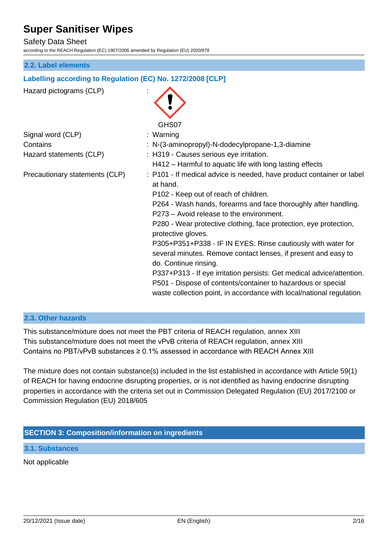### Safety Data Sheet

according to the REACH Regulation (EC) 1907/2006 amended by Regulation (EU) 2020/878

#### **2.2. Label elements**

#### **Labelling according to Regulation (EC) No. 1272/2008 [CLP]**



#### **2.3. Other hazards**

This substance/mixture does not meet the PBT criteria of REACH regulation, annex XIII This substance/mixture does not meet the vPvB criteria of REACH regulation, annex XIII Contains no PBT/vPvB substances  $\geq 0.1\%$  assessed in accordance with REACH Annex XIII

The mixture does not contain substance(s) included in the list established in accordance with Article 59(1) of REACH for having endocrine disrupting properties, or is not identified as having endocrine disrupting properties in accordance with the criteria set out in Commission Delegated Regulation (EU) 2017/2100 or Commission Regulation (EU) 2018/605

#### **SECTION 3: Composition/information on ingredients**

**3.1. Substances**

Not applicable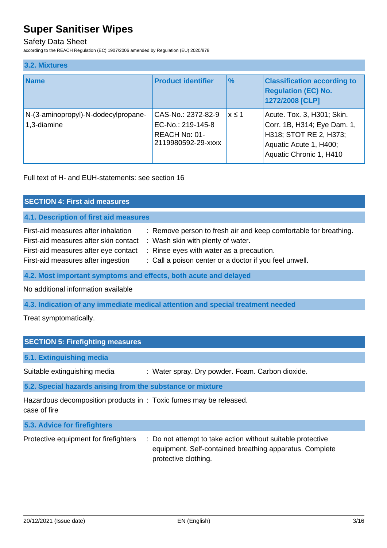## Safety Data Sheet

according to the REACH Regulation (EC) 1907/2006 amended by Regulation (EU) 2020/878

| 3.2. Mixtures                                      |                                                                                       |               |                                                                                                                                          |
|----------------------------------------------------|---------------------------------------------------------------------------------------|---------------|------------------------------------------------------------------------------------------------------------------------------------------|
| <b>Name</b>                                        | <b>Product identifier</b>                                                             | $\frac{9}{6}$ | <b>Classification according to</b><br><b>Regulation (EC) No.</b><br>1272/2008 [CLP]                                                      |
| N-(3-aminopropyl)-N-dodecylpropane-<br>1,3-diamine | CAS-No.: 2372-82-9<br>EC-No.: 219-145-8<br><b>REACH No: 01-</b><br>2119980592-29-xxxx | $x \leq 1$    | Acute. Tox. 3, H301; Skin.<br>Corr. 1B, H314; Eye Dam. 1,<br>H318; STOT RE 2, H373;<br>Aquatic Acute 1, H400;<br>Aquatic Chronic 1, H410 |

Full text of H- and EUH-statements: see section 16

| <b>SECTION 4: First aid measures</b>                                                                                                                       |                                                                                                                                                                                                             |
|------------------------------------------------------------------------------------------------------------------------------------------------------------|-------------------------------------------------------------------------------------------------------------------------------------------------------------------------------------------------------------|
| 4.1. Description of first aid measures                                                                                                                     |                                                                                                                                                                                                             |
| First-aid measures after inhalation<br>First-aid measures after skin contact<br>First-aid measures after eye contact<br>First-aid measures after ingestion | : Remove person to fresh air and keep comfortable for breathing.<br>: Wash skin with plenty of water.<br>: Rinse eyes with water as a precaution.<br>: Call a poison center or a doctor if you feel unwell. |
| 4.2. Most important symptoms and effects, both acute and delayed                                                                                           |                                                                                                                                                                                                             |

No additional information available

**4.3. Indication of any immediate medical attention and special treatment needed**

Treat symptomatically.

| <b>SECTION 5: Firefighting measures</b>                                           |                                                  |
|-----------------------------------------------------------------------------------|--------------------------------------------------|
| 5.1. Extinguishing media                                                          |                                                  |
| Suitable extinguishing media                                                      | : Water spray. Dry powder. Foam. Carbon dioxide. |
| 5.2. Special hazards arising from the substance or mixture                        |                                                  |
| Hazardous decomposition products in: Toxic fumes may be released.<br>case of fire |                                                  |
| 5.3. Advice for firefighters                                                      |                                                  |

| Protective equipment for firefighters | : Do not attempt to take action without suitable protective<br>equipment. Self-contained breathing apparatus. Complete<br>protective clothing. |
|---------------------------------------|------------------------------------------------------------------------------------------------------------------------------------------------|
|                                       |                                                                                                                                                |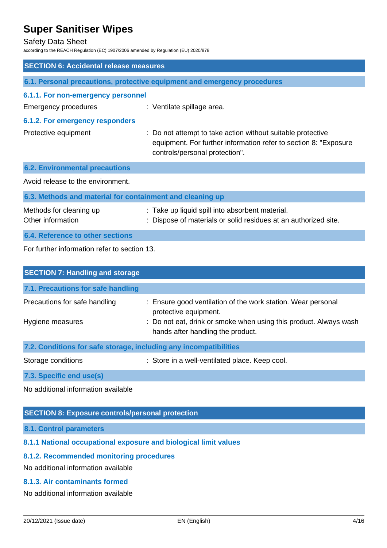#### Safety Data Sheet

according to the REACH Regulation (EC) 1907/2006 amended by Regulation (EU) 2020/878

| <b>SECTION 6: Accidental release measures</b>             |                                                                                                                                                                   |
|-----------------------------------------------------------|-------------------------------------------------------------------------------------------------------------------------------------------------------------------|
|                                                           | 6.1. Personal precautions, protective equipment and emergency procedures                                                                                          |
| 6.1.1. For non-emergency personnel                        |                                                                                                                                                                   |
| <b>Emergency procedures</b>                               | : Ventilate spillage area.                                                                                                                                        |
| <b>6.1.2. For emergency responders</b>                    |                                                                                                                                                                   |
| Protective equipment                                      | : Do not attempt to take action without suitable protective<br>equipment. For further information refer to section 8: "Exposure<br>controls/personal protection". |
| <b>6.2. Environmental precautions</b>                     |                                                                                                                                                                   |
| Avoid release to the environment.                         |                                                                                                                                                                   |
| 6.3. Methods and material for containment and cleaning up |                                                                                                                                                                   |
| Methods for cleaning up<br>Other information              | : Take up liquid spill into absorbent material.<br>: Dispose of materials or solid residues at an authorized site.                                                |
| <b>6.4. Reference to other sections</b>                   |                                                                                                                                                                   |
| For further information refer to section 13.              |                                                                                                                                                                   |
|                                                           |                                                                                                                                                                   |

| <b>SECTION 7: Handling and storage</b>                            |                                                                                                        |
|-------------------------------------------------------------------|--------------------------------------------------------------------------------------------------------|
| 7.1. Precautions for safe handling                                |                                                                                                        |
| Precautions for safe handling                                     | : Ensure good ventilation of the work station. Wear personal<br>protective equipment.                  |
| Hygiene measures                                                  | : Do not eat, drink or smoke when using this product. Always wash<br>hands after handling the product. |
| 7.2. Conditions for safe storage, including any incompatibilities |                                                                                                        |
| Storage conditions                                                | : Store in a well-ventilated place. Keep cool.                                                         |
|                                                                   |                                                                                                        |

**7.3. Specific end use(s)**

No additional information available

## **SECTION 8: Exposure controls/personal protection**

**8.1. Control parameters**

## **8.1.1 National occupational exposure and biological limit values**

## **8.1.2. Recommended monitoring procedures**

No additional information available

## **8.1.3. Air contaminants formed**

No additional information available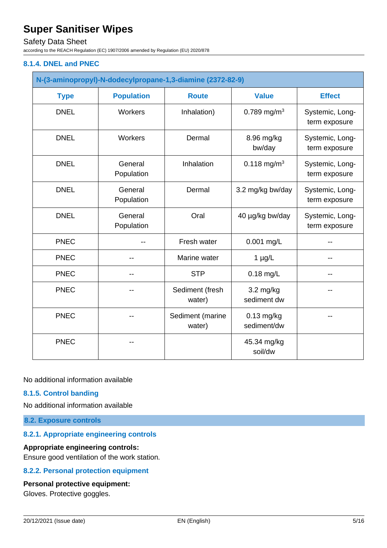## Safety Data Sheet

according to the REACH Regulation (EC) 1907/2006 amended by Regulation (EU) 2020/878

### **8.1.4. DNEL and PNEC**

|             | N-(3-aminopropyl)-N-dodecylpropane-1,3-diamine (2372-82-9) |                            |                                    |                                  |
|-------------|------------------------------------------------------------|----------------------------|------------------------------------|----------------------------------|
| <b>Type</b> | <b>Population</b>                                          | <b>Route</b>               | <b>Value</b>                       | <b>Effect</b>                    |
| <b>DNEL</b> | Workers                                                    | Inhalation)                | 0.789 mg/m <sup>3</sup>            | Systemic, Long-<br>term exposure |
| <b>DNEL</b> | Workers                                                    | Dermal                     | 8.96 mg/kg<br>bw/day               | Systemic, Long-<br>term exposure |
| <b>DNEL</b> | General<br>Population                                      | Inhalation                 | 0.118 mg/m <sup>3</sup>            | Systemic, Long-<br>term exposure |
| <b>DNEL</b> | General<br>Population                                      | Dermal                     | 3.2 mg/kg bw/day                   | Systemic, Long-<br>term exposure |
| <b>DNEL</b> | General<br>Population                                      | Oral                       | 40 µg/kg bw/day                    | Systemic, Long-<br>term exposure |
| <b>PNEC</b> |                                                            | Fresh water                | 0.001 mg/L                         |                                  |
| <b>PNEC</b> | --                                                         | Marine water               | $1 \mu g/L$                        | $- -$                            |
| <b>PNEC</b> | --                                                         | <b>STP</b>                 | $0.18$ mg/L                        |                                  |
| <b>PNEC</b> |                                                            | Sediment (fresh<br>water)  | $3.2 \text{ mg/kg}$<br>sediment dw |                                  |
| <b>PNEC</b> |                                                            | Sediment (marine<br>water) | $0.13$ mg/kg<br>sediment/dw        |                                  |
| <b>PNEC</b> |                                                            |                            | 45.34 mg/kg<br>soil/dw             |                                  |

No additional information available

### **8.1.5. Control banding**

No additional information available

**8.2. Exposure controls**

#### **8.2.1. Appropriate engineering controls**

#### **Appropriate engineering controls:**

Ensure good ventilation of the work station.

## **8.2.2. Personal protection equipment**

#### **Personal protective equipment:**

Gloves. Protective goggles.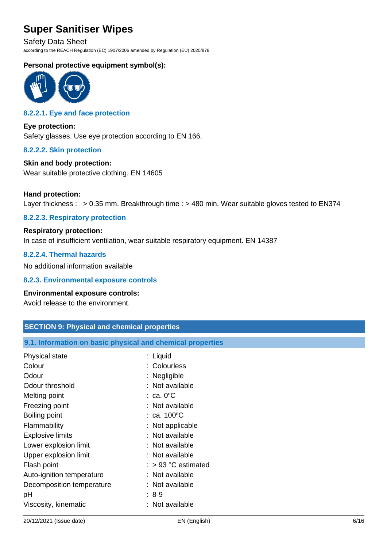Safety Data Sheet according to the REACH Regulation (EC) 1907/2006 amended by Regulation (EU) 2020/878

### **Personal protective equipment symbol(s):**



## **8.2.2.1. Eye and face protection**

**Eye protection:** Safety glasses. Use eye protection according to EN 166.

#### **8.2.2.2. Skin protection**

## **Skin and body protection:**

Wear suitable protective clothing. EN 14605

#### **Hand protection:**

Layer thickness : > 0.35 mm. Breakthrough time : > 480 min. Wear suitable gloves tested to EN374

#### **8.2.2.3. Respiratory protection**

## **Respiratory protection:** In case of insufficient ventilation, wear suitable respiratory equipment. EN 14387

### **8.2.2.4. Thermal hazards**

No additional information available

#### **8.2.3. Environmental exposure controls**

#### **Environmental exposure controls:**

Avoid release to the environment.

| <b>SECTION 9: Physical and chemical properties</b>         |                       |  |
|------------------------------------------------------------|-----------------------|--|
| 9.1. Information on basic physical and chemical properties |                       |  |
| Physical state                                             | : Liquid              |  |
| Colour                                                     | : Colourless          |  |
| Odour                                                      | : Negligible          |  |
| Odour threshold                                            | : Not available       |  |
| Melting point                                              | $: ca. 0^{\circ}C$    |  |
| Freezing point                                             | : Not available       |  |
| Boiling point                                              | : ca. $100^{\circ}$ C |  |
| Flammability                                               | : Not applicable      |  |
| <b>Explosive limits</b>                                    | : Not available       |  |
| Lower explosion limit                                      | : Not available       |  |
| Upper explosion limit                                      | : Not available       |  |
| Flash point                                                | $:$ > 93 °C estimated |  |
| Auto-ignition temperature                                  | : Not available       |  |
| Decomposition temperature                                  | : Not available       |  |
| рH                                                         | $: 8-9$               |  |
| Viscosity, kinematic                                       | : Not available       |  |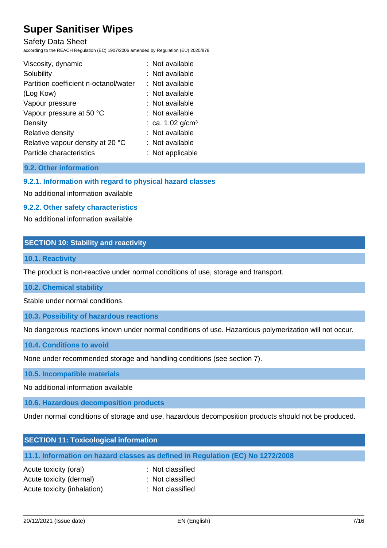Safety Data Sheet

according to the REACH Regulation (EC) 1907/2006 amended by Regulation (EU) 2020/878

| Viscosity, dynamic                    | : Not available                |
|---------------------------------------|--------------------------------|
| Solubility                            | : Not available                |
| Partition coefficient n-octanol/water | : Not available                |
| (Log Kow)                             | : Not available                |
| Vapour pressure                       | : Not available                |
| Vapour pressure at 50 °C              | : Not available                |
| Density                               | : ca. $1.02$ g/cm <sup>3</sup> |
| Relative density                      | : Not available                |
| Relative vapour density at 20 °C      | : Not available                |
| Particle characteristics              | : Not applicable               |

## **9.2. Other information**

### **9.2.1. Information with regard to physical hazard classes**

No additional information available

#### **9.2.2. Other safety characteristics**

No additional information available

#### **SECTION 10: Stability and reactivity**

#### **10.1. Reactivity**

The product is non-reactive under normal conditions of use, storage and transport.

#### **10.2. Chemical stability**

Stable under normal conditions.

#### **10.3. Possibility of hazardous reactions**

No dangerous reactions known under normal conditions of use. Hazardous polymerization will not occur.

#### **10.4. Conditions to avoid**

None under recommended storage and handling conditions (see section 7).

#### **10.5. Incompatible materials**

No additional information available

### **10.6. Hazardous decomposition products**

Under normal conditions of storage and use, hazardous decomposition products should not be produced.

| <b>SECTION 11: Toxicological information</b>                                   |
|--------------------------------------------------------------------------------|
| 11.1. Information on hazard classes as defined in Regulation (EC) No 1272/2008 |

| Acute toxicity (oral)       | : Not classified |
|-----------------------------|------------------|
| Acute toxicity (dermal)     | : Not classified |
| Acute toxicity (inhalation) | : Not classified |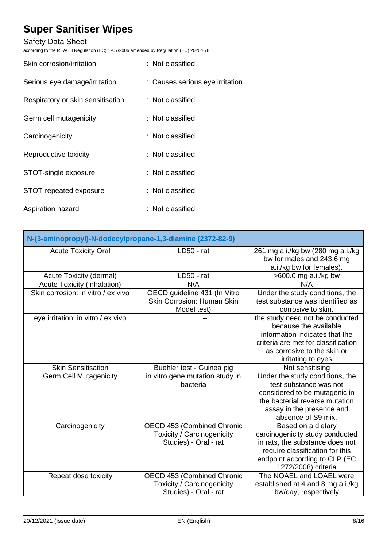## Safety Data Sheet

according to the REACH Regulation (EC) 1907/2006 amended by Regulation (EU) 2020/878

| Skin corrosion/irritation         | : Not classified                 |
|-----------------------------------|----------------------------------|
| Serious eye damage/irritation     | : Causes serious eye irritation. |
| Respiratory or skin sensitisation | : Not classified                 |
| Germ cell mutagenicity            | : Not classified                 |
| Carcinogenicity                   | : Not classified                 |
| Reproductive toxicity             | : Not classified                 |
| STOT-single exposure              | : Not classified                 |
| STOT-repeated exposure            | : Not classified                 |
| Aspiration hazard                 | : Not classified                 |

| N-(3-aminopropyl)-N-dodecylpropane-1,3-diamine (2372-82-9) |                                                                                          |                                                                                                                                                                                        |  |
|------------------------------------------------------------|------------------------------------------------------------------------------------------|----------------------------------------------------------------------------------------------------------------------------------------------------------------------------------------|--|
| <b>Acute Toxicity Oral</b>                                 | LD50 - rat                                                                               | 261 mg a.i./kg bw (280 mg a.i./kg<br>bw for males and 243.6 mg<br>a.i./kg bw for females).                                                                                             |  |
| Acute Toxicity (dermal)                                    | LD50 - rat                                                                               | >600.0 mg a.i./kg bw                                                                                                                                                                   |  |
| Acute Toxicity (inhalation)                                | N/A                                                                                      | N/A                                                                                                                                                                                    |  |
| Skin corrosion: in vitro / ex vivo                         | OECD guideline 431 (In Vitro<br>Skin Corrosion: Human Skin<br>Model test)                | Under the study conditions, the<br>test substance was identified as<br>corrosive to skin.                                                                                              |  |
| eye irritation: in vitro / ex vivo                         |                                                                                          | the study need not be conducted<br>because the available<br>information indicates that the<br>criteria are met for classification<br>as corrosive to the skin or<br>irritating to eyes |  |
| <b>Skin Sensitisation</b>                                  | Buehler test - Guinea pig                                                                | Not sensitising                                                                                                                                                                        |  |
| <b>Germ Cell Mutagenicity</b>                              | in vitro gene mutation study in<br>bacteria                                              | Under the study conditions, the<br>test substance was not<br>considered to be mutagenic in<br>the bacterial reverse mutation<br>assay in the presence and<br>absence of S9 mix.        |  |
| Carcinogenicity                                            | OECD 453 (Combined Chronic<br>Toxicity / Carcinogenicity<br>Studies) - Oral - rat        | Based on a dietary<br>carcinogenicity study conducted<br>in rats, the substance does not<br>require classification for this<br>endpoint according to CLP (EC<br>1272/2008) criteria    |  |
| Repeat dose toxicity                                       | OECD 453 (Combined Chronic<br><b>Toxicity / Carcinogenicity</b><br>Studies) - Oral - rat | The NOAEL and LOAEL were<br>established at 4 and 8 mg a.i./kg<br>bw/day, respectively                                                                                                  |  |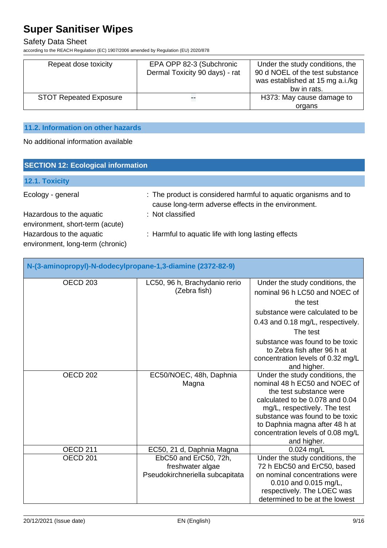## Safety Data Sheet

according to the REACH Regulation (EC) 1907/2006 amended by Regulation (EU) 2020/878

| Repeat dose toxicity          | EPA OPP 82-3 (Subchronic<br>Dermal Toxicity 90 days) - rat | Under the study conditions, the<br>90 d NOEL of the test substance<br>was established at 15 mg a.i./kg<br>bw in rats. |
|-------------------------------|------------------------------------------------------------|-----------------------------------------------------------------------------------------------------------------------|
| <b>STOT Repeated Exposure</b> | −−                                                         | H373: May cause damage to                                                                                             |
|                               |                                                            | organs                                                                                                                |

## **11.2. Information on other hazards**

No additional information available

| <b>SECTION 12: Ecological information</b>                    |                                                                                                                        |  |  |
|--------------------------------------------------------------|------------------------------------------------------------------------------------------------------------------------|--|--|
| 12.1. Toxicity                                               |                                                                                                                        |  |  |
| Ecology - general                                            | : The product is considered harmful to aquatic organisms and to<br>cause long-term adverse effects in the environment. |  |  |
| Hazardous to the aquatic<br>environment, short-term (acute)  | : Not classified                                                                                                       |  |  |
| Hazardous to the aquatic<br>environment, long-term (chronic) | : Harmful to aquatic life with long lasting effects                                                                    |  |  |

| N-(3-aminopropyl)-N-dodecylpropane-1,3-diamine (2372-82-9) |                                                                              |                                                                                                                                                                                                                                                                                         |  |
|------------------------------------------------------------|------------------------------------------------------------------------------|-----------------------------------------------------------------------------------------------------------------------------------------------------------------------------------------------------------------------------------------------------------------------------------------|--|
| <b>OECD 203</b>                                            | LC50, 96 h, Brachydanio rerio<br>(Zebra fish)                                | Under the study conditions, the<br>nominal 96 h LC50 and NOEC of<br>the test<br>substance were calculated to be<br>0.43 and 0.18 mg/L, respectively.<br>The test<br>substance was found to be toxic<br>to Zebra fish after 96 h at<br>concentration levels of 0.32 mg/L<br>and higher.  |  |
| OECD <sub>202</sub>                                        | EC50/NOEC, 48h, Daphnia<br>Magna                                             | Under the study conditions, the<br>nominal 48 h EC50 and NOEC of<br>the test substance were<br>calculated to be 0.078 and 0.04<br>mg/L, respectively. The test<br>substance was found to be toxic<br>to Daphnia magna after 48 h at<br>concentration levels of 0.08 mg/L<br>and higher. |  |
| <b>OECD 211</b>                                            | EC50, 21 d, Daphnia Magna                                                    | 0.024 mg/L                                                                                                                                                                                                                                                                              |  |
| OECD <sub>201</sub>                                        | EbC50 and ErC50, 72h,<br>freshwater algae<br>Pseudokirchneriella subcapitata | Under the study conditions, the<br>72 h EbC50 and ErC50, based<br>on nominal concentrations were<br>0.010 and 0.015 mg/L,<br>respectively. The LOEC was<br>determined to be at the lowest                                                                                               |  |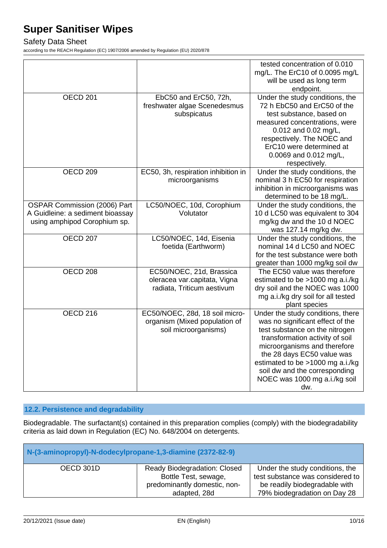## Safety Data Sheet

according to the REACH Regulation (EC) 1907/2006 amended by Regulation (EU) 2020/878

|                                  |                                        | tested concentration of 0.010                                 |
|----------------------------------|----------------------------------------|---------------------------------------------------------------|
|                                  |                                        | mg/L. The ErC10 of 0.0095 mg/L                                |
|                                  |                                        | will be used as long term                                     |
|                                  |                                        | endpoint.                                                     |
| <b>OECD 201</b>                  | EbC50 and ErC50, 72h,                  | Under the study conditions, the                               |
|                                  | freshwater algae Scenedesmus           | 72 h EbC50 and ErC50 of the                                   |
|                                  | subspicatus                            | test substance, based on                                      |
|                                  |                                        | measured concentrations, were                                 |
|                                  |                                        | 0.012 and 0.02 mg/L,                                          |
|                                  |                                        | respectively. The NOEC and                                    |
|                                  |                                        | ErC10 were determined at                                      |
|                                  |                                        |                                                               |
|                                  |                                        | 0.0069 and 0.012 mg/L,                                        |
| <b>OECD 209</b>                  |                                        | respectively.                                                 |
|                                  | EC50, 3h, respiration inhibition in    | Under the study conditions, the                               |
|                                  | microorganisms                         | nominal 3 h EC50 for respiration                              |
|                                  |                                        | inhibition in microorganisms was                              |
|                                  |                                        | determined to be 18 mg/L.                                     |
| OSPAR Commission (2006) Part     | LC50/NOEC, 10d, Corophium<br>Volutator | Under the study conditions, the                               |
| A Guidleine: a sediment bioassay |                                        | 10 d LC50 was equivalent to 304                               |
| using amphipod Corophium sp.     |                                        | mg/kg dw and the 10 d NOEC                                    |
|                                  |                                        | was 127.14 mg/kg dw.                                          |
| <b>OECD 207</b>                  | LC50/NOEC, 14d, Eisenia                | Under the study conditions, the<br>nominal 14 d LC50 and NOEC |
|                                  | foetida (Earthworm)                    |                                                               |
|                                  |                                        | for the test substance were both                              |
|                                  |                                        | greater than 1000 mg/kg soil dw                               |
| OECD <sub>208</sub>              | EC50/NOEC, 21d, Brassica               | The EC50 value was therefore                                  |
|                                  | oleracea var.capitata, Vigna           | estimated to be >1000 mg a.i./kg                              |
|                                  | radiata, Triticum aestivum             | dry soil and the NOEC was 1000                                |
|                                  |                                        | mg a.i./kg dry soil for all tested                            |
|                                  |                                        | plant species                                                 |
| OECD <sub>216</sub>              | EC50/NOEC, 28d, 18 soil micro-         | Under the study conditions, there                             |
|                                  | organism (Mixed population of          | was no significant effect of the                              |
|                                  | soil microorganisms)                   | test substance on the nitrogen                                |
|                                  |                                        | transformation activity of soil                               |
|                                  |                                        | microorganisms and therefore                                  |
|                                  |                                        | the 28 days EC50 value was                                    |
|                                  |                                        | estimated to be >1000 mg a.i./kg                              |
|                                  |                                        | soil dw and the corresponding                                 |
|                                  |                                        | NOEC was 1000 mg a.i./kg soil                                 |
|                                  |                                        | dw.                                                           |

## **12.2. Persistence and degradability**

Biodegradable. The surfactant(s) contained in this preparation complies (comply) with the biodegradability criteria as laid down in Regulation (EC) No. 648/2004 on detergents.

| N-(3-aminopropyl)-N-dodecylpropane-1,3-diamine (2372-82-9) |                                                                                                      |                                                                                                                                      |  |
|------------------------------------------------------------|------------------------------------------------------------------------------------------------------|--------------------------------------------------------------------------------------------------------------------------------------|--|
| OECD 301D                                                  | Ready Biodegradation: Closed<br>Bottle Test, sewage,<br>predominantly domestic, non-<br>adapted, 28d | Under the study conditions, the<br>test substance was considered to<br>be readily biodegradable with<br>79% biodegradation on Day 28 |  |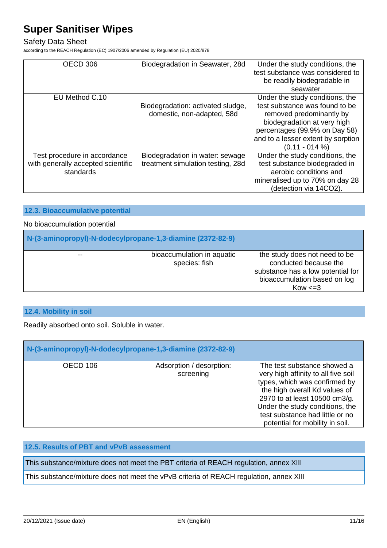### Safety Data Sheet

according to the REACH Regulation (EC) 1907/2006 amended by Regulation (EU) 2020/878

| OECD 306                                        | Biodegradation in Seawater, 28d   | Under the study conditions, the<br>test substance was considered to |
|-------------------------------------------------|-----------------------------------|---------------------------------------------------------------------|
|                                                 |                                   | be readily biodegradable in                                         |
|                                                 |                                   | seawater.                                                           |
| EU Method C.10                                  | Biodegradation: activated sludge, | Under the study conditions, the<br>test substance was found to be   |
|                                                 | domestic, non-adapted, 58d        | removed predominantly by                                            |
|                                                 |                                   | biodegradation at very high                                         |
|                                                 |                                   | percentages (99.9% on Day 58)                                       |
|                                                 |                                   | and to a lesser extent by sorption                                  |
|                                                 |                                   | $(0.11 - 014%)$                                                     |
| Test procedure in accordance                    | Biodegradation in water: sewage   | Under the study conditions, the                                     |
| with generally accepted scientific<br>standards | treatment simulation testing, 28d | test substance biodegraded in<br>aerobic conditions and             |
|                                                 |                                   |                                                                     |
|                                                 |                                   | mineralised up to 70% on day 28                                     |
|                                                 |                                   | (detection via 14CO2).                                              |

#### **12.3. Bioaccumulative potential**

#### No bioaccumulation potential

| N-(3-aminopropyl)-N-dodecylpropane-1,3-diamine (2372-82-9) |                                             |                                                                                                                                             |  |
|------------------------------------------------------------|---------------------------------------------|---------------------------------------------------------------------------------------------------------------------------------------------|--|
| $- -$                                                      | bioaccumulation in aquatic<br>species: fish | the study does not need to be<br>conducted because the<br>substance has a low potential for<br>bioaccumulation based on log<br>$Kow \leq 3$ |  |

## **12.4. Mobility in soil**

Readily absorbed onto soil. Soluble in water.

| N-(3-aminopropyl)-N-dodecylpropane-1,3-diamine (2372-82-9) |                                       |                                                                                                                                                                                                                                                                                |  |
|------------------------------------------------------------|---------------------------------------|--------------------------------------------------------------------------------------------------------------------------------------------------------------------------------------------------------------------------------------------------------------------------------|--|
| OECD 106                                                   | Adsorption / desorption:<br>screening | The test substance showed a<br>very high affinity to all five soil<br>types, which was confirmed by<br>the high overall Kd values of<br>2970 to at least 10500 cm3/g.<br>Under the study conditions, the<br>test substance had little or no<br>potential for mobility in soil. |  |

## **12.5. Results of PBT and vPvB assessment**

This substance/mixture does not meet the PBT criteria of REACH regulation, annex XIII

This substance/mixture does not meet the vPvB criteria of REACH regulation, annex XIII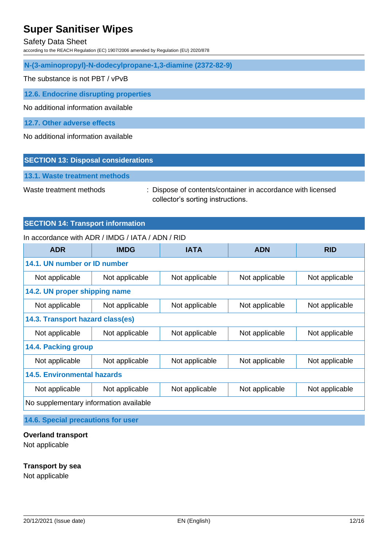#### Safety Data Sheet

according to the REACH Regulation (EC) 1907/2006 amended by Regulation (EU) 2020/878

**N-(3-aminopropyl)-N-dodecylpropane-1,3-diamine (2372-82-9)**

The substance is not PBT / vPvB

**12.6. Endocrine disrupting properties**

No additional information available

**12.7. Other adverse effects**

No additional information available

#### **SECTION 13: Disposal considerations**

**13.1. Waste treatment methods**

Waste treatment methods : Dispose of contents/container in accordance with licensed collector's sorting instructions.

#### **SECTION 14: Transport information**

#### In accordance with ADR / IMDG / IATA / ADN / RID

| <b>ADR</b>                             | <b>IMDG</b>    | <b>IATA</b>    | <b>ADN</b>     | <b>RID</b>     |
|----------------------------------------|----------------|----------------|----------------|----------------|
| 14.1. UN number or ID number           |                |                |                |                |
| Not applicable                         | Not applicable | Not applicable | Not applicable | Not applicable |
| 14.2. UN proper shipping name          |                |                |                |                |
| Not applicable                         | Not applicable | Not applicable | Not applicable | Not applicable |
| 14.3. Transport hazard class(es)       |                |                |                |                |
| Not applicable                         | Not applicable | Not applicable | Not applicable | Not applicable |
| 14.4. Packing group                    |                |                |                |                |
| Not applicable                         | Not applicable | Not applicable | Not applicable | Not applicable |
| <b>14.5. Environmental hazards</b>     |                |                |                |                |
| Not applicable                         | Not applicable | Not applicable | Not applicable | Not applicable |
| No supplementary information available |                |                |                |                |

**14.6. Special precautions for user**

#### **Overland transport**

Not applicable

#### **Transport by sea**

Not applicable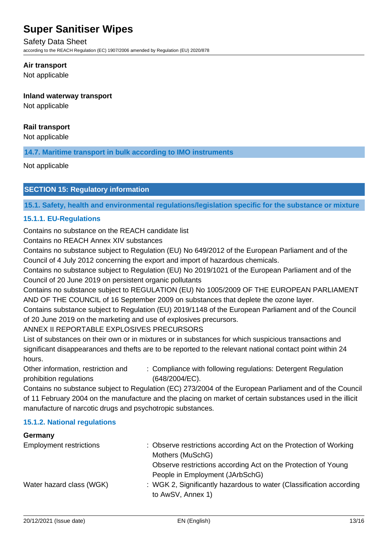#### Safety Data Sheet

according to the REACH Regulation (EC) 1907/2006 amended by Regulation (EU) 2020/878

#### **Air transport**

Not applicable

### **Inland waterway transport**

Not applicable

### **Rail transport**

Not applicable

**14.7. Maritime transport in bulk according to IMO instruments**

Not applicable

### **SECTION 15: Regulatory information**

**15.1. Safety, health and environmental regulations/legislation specific for the substance or mixture**

### **15.1.1. EU-Regulations**

Contains no substance on the REACH candidate list

Contains no REACH Annex XIV substances

Contains no substance subject to Regulation (EU) No 649/2012 of the European Parliament and of the Council of 4 July 2012 concerning the export and import of hazardous chemicals.

Contains no substance subject to Regulation (EU) No 2019/1021 of the European Parliament and of the Council of 20 June 2019 on persistent organic pollutants

Contains no substance subject to REGULATION (EU) No 1005/2009 OF THE EUROPEAN PARLIAMENT AND OF THE COUNCIL of 16 September 2009 on substances that deplete the ozone layer.

Contains substance subject to Regulation (EU) 2019/1148 of the European Parliament and of the Council of 20 June 2019 on the marketing and use of explosives precursors.

### ANNEX II REPORTABLE EXPLOSIVES PRECURSORS

List of substances on their own or in mixtures or in substances for which suspicious transactions and significant disappearances and thefts are to be reported to the relevant national contact point within 24 hours.

Other information, restriction and prohibition regulations : Compliance with following regulations: Detergent Regulation (648/2004/EC).

Contains no substance subject to Regulation (EC) 273/2004 of the European Parliament and of the Council of 11 February 2004 on the manufacture and the placing on market of certain substances used in the illicit manufacture of narcotic drugs and psychotropic substances.

### **15.1.2. National regulations**

## **Germany** Employment restrictions : Observe restrictions according Act on the Protection of Working Mothers (MuSchG) Observe restrictions according Act on the Protection of Young People in Employment (JArbSchG) Water hazard class (WGK) : WGK 2, Significantly hazardous to water (Classification according to AwSV, Annex 1)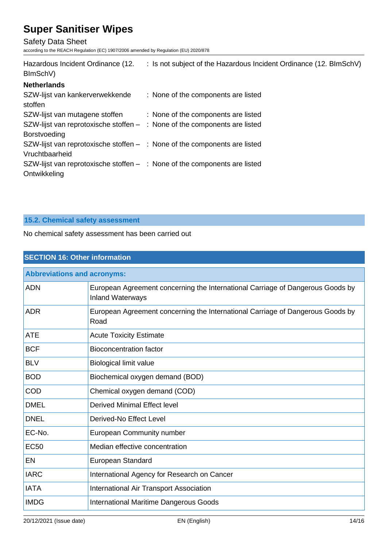Safety Data Sheet

according to the REACH Regulation (EC) 1907/2006 amended by Regulation (EU) 2020/878

| Hazardous Incident Ordinance (12.<br>BImSchV)                                                      | : Is not subject of the Hazardous Incident Ordinance (12. BImSchV) |
|----------------------------------------------------------------------------------------------------|--------------------------------------------------------------------|
| <b>Netherlands</b>                                                                                 |                                                                    |
| SZW-lijst van kankerverwekkende<br>stoffen                                                         | : None of the components are listed                                |
| SZW-lijst van mutagene stoffen                                                                     | : None of the components are listed                                |
| SZW-lijst van reprotoxische stoffen $-$ : None of the components are listed<br><b>Borstvoeding</b> |                                                                    |
| SZW-lijst van reprotoxische stoffen $-$ : None of the components are listed<br>Vruchtbaarheid      |                                                                    |
| SZW-lijst van reprotoxische stoffen $-$ : None of the components are listed<br>Ontwikkeling        |                                                                    |

## **15.2. Chemical safety assessment**

No chemical safety assessment has been carried out

| <b>SECTION 16: Other information</b> |                                                                                                           |  |
|--------------------------------------|-----------------------------------------------------------------------------------------------------------|--|
| <b>Abbreviations and acronyms:</b>   |                                                                                                           |  |
| <b>ADN</b>                           | European Agreement concerning the International Carriage of Dangerous Goods by<br><b>Inland Waterways</b> |  |
| <b>ADR</b>                           | European Agreement concerning the International Carriage of Dangerous Goods by<br>Road                    |  |
| <b>ATE</b>                           | <b>Acute Toxicity Estimate</b>                                                                            |  |
| <b>BCF</b>                           | <b>Bioconcentration factor</b>                                                                            |  |
| <b>BLV</b>                           | <b>Biological limit value</b>                                                                             |  |
| <b>BOD</b>                           | Biochemical oxygen demand (BOD)                                                                           |  |
| COD                                  | Chemical oxygen demand (COD)                                                                              |  |
| DMEL                                 | <b>Derived Minimal Effect level</b>                                                                       |  |
| <b>DNEL</b>                          | Derived-No Effect Level                                                                                   |  |
| EC-No.                               | <b>European Community number</b>                                                                          |  |
| <b>EC50</b>                          | Median effective concentration                                                                            |  |
| EN                                   | European Standard                                                                                         |  |
| <b>IARC</b>                          | International Agency for Research on Cancer                                                               |  |
| <b>IATA</b>                          | <b>International Air Transport Association</b>                                                            |  |
| <b>IMDG</b>                          | <b>International Maritime Dangerous Goods</b>                                                             |  |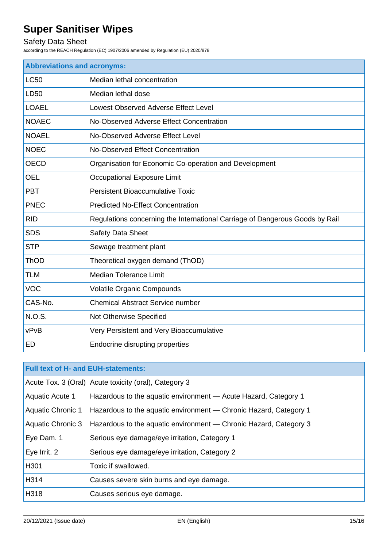## Safety Data Sheet

according to the REACH Regulation (EC) 1907/2006 amended by Regulation (EU) 2020/878

| <b>Abbreviations and acronyms:</b> |                                                                              |  |
|------------------------------------|------------------------------------------------------------------------------|--|
| <b>LC50</b>                        | Median lethal concentration                                                  |  |
| LD50                               | Median lethal dose                                                           |  |
| <b>LOAEL</b>                       | Lowest Observed Adverse Effect Level                                         |  |
| <b>NOAEC</b>                       | No-Observed Adverse Effect Concentration                                     |  |
| <b>NOAEL</b>                       | No-Observed Adverse Effect Level                                             |  |
| <b>NOEC</b>                        | No-Observed Effect Concentration                                             |  |
| <b>OECD</b>                        | Organisation for Economic Co-operation and Development                       |  |
| <b>OEL</b>                         | Occupational Exposure Limit                                                  |  |
| <b>PBT</b>                         | <b>Persistent Bioaccumulative Toxic</b>                                      |  |
| <b>PNEC</b>                        | <b>Predicted No-Effect Concentration</b>                                     |  |
| <b>RID</b>                         | Regulations concerning the International Carriage of Dangerous Goods by Rail |  |
| <b>SDS</b>                         | <b>Safety Data Sheet</b>                                                     |  |
| <b>STP</b>                         | Sewage treatment plant                                                       |  |
| <b>ThOD</b>                        | Theoretical oxygen demand (ThOD)                                             |  |
| <b>TLM</b>                         | <b>Median Tolerance Limit</b>                                                |  |
| <b>VOC</b>                         | <b>Volatile Organic Compounds</b>                                            |  |
| CAS-No.                            | <b>Chemical Abstract Service number</b>                                      |  |
| <b>N.O.S.</b>                      | Not Otherwise Specified                                                      |  |
| vPvB                               | Very Persistent and Very Bioaccumulative                                     |  |
| <b>ED</b>                          | Endocrine disrupting properties                                              |  |

| <b>Full text of H- and EUH-statements:</b> |                                                                   |  |
|--------------------------------------------|-------------------------------------------------------------------|--|
|                                            | Acute Tox. 3 (Oral) Acute toxicity (oral), Category 3             |  |
| <b>Aquatic Acute 1</b>                     | Hazardous to the aquatic environment - Acute Hazard, Category 1   |  |
| <b>Aquatic Chronic 1</b>                   | Hazardous to the aquatic environment - Chronic Hazard, Category 1 |  |
| <b>Aquatic Chronic 3</b>                   | Hazardous to the aquatic environment - Chronic Hazard, Category 3 |  |
| Eye Dam. 1                                 | Serious eye damage/eye irritation, Category 1                     |  |
| Eye Irrit. 2                               | Serious eye damage/eye irritation, Category 2                     |  |
| H301                                       | Toxic if swallowed.                                               |  |
| H314                                       | Causes severe skin burns and eye damage.                          |  |
| H318                                       | Causes serious eye damage.                                        |  |